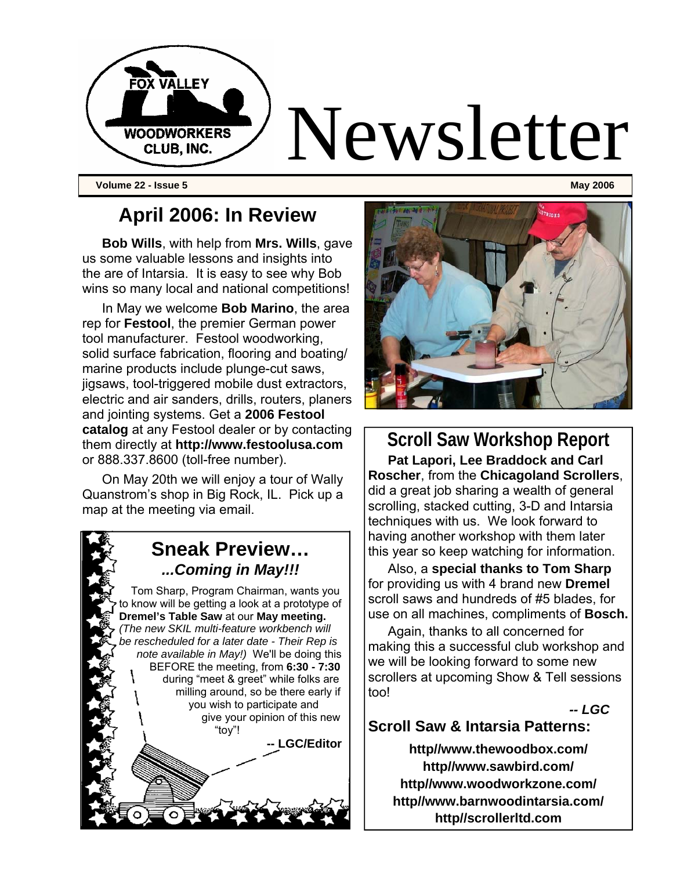

**Volume 22 - Issue 5 May 2006** 

### **April 2006: In Review**

**Bob Wills**, with help from **Mrs. Wills**, gave us some valuable lessons and insights into the are of Intarsia. It is easy to see why Bob wins so many local and national competitions!

In May we welcome **Bob Marino**, the area rep for **Festool**, the premier German power tool manufacturer. Festool woodworking, solid surface fabrication, flooring and boating/ marine products include plunge-cut saws, jigsaws, tool-triggered mobile dust extractors, electric and air sanders, drills, routers, planers and jointing systems. Get a **2006 Festool catalog** at any Festool dealer or by contacting them directly at **http://www.festoolusa.com**  or 888.337.8600 (toll-free number).

On May 20th we will enjoy a tour of Wally Quanstrom's shop in Big Rock, IL. Pick up a map at the meeting via email.

### **Sneak Preview…**  *...Coming in May!!!*

Tom Sharp, Program Chairman, wants you to know will be getting a look at a prototype of **Dremel's Table Saw** at our **May meeting.** *(The new SKIL multi-feature workbench will be rescheduled for a later date - Their Rep is note available in May!)* We'll be doing this BEFORE the meeting, from **6:30 - 7:30**  during "meet & greet" while folks are milling around, so be there early if you wish to participate and give your opinion of this new "toy"!

**LGC/Editor** 



**Scroll Saw Workshop Report Pat Lapori, Lee Braddock and Carl Roscher**, from the **Chicagoland Scrollers**, did a great job sharing a wealth of general scrolling, stacked cutting, 3-D and Intarsia techniques with us. We look forward to having another workshop with them later this year so keep watching for information.

Also, a **special thanks to Tom Sharp**  for providing us with 4 brand new **Dremel**  scroll saws and hundreds of #5 blades, for use on all machines, compliments of **Bosch.**

Again, thanks to all concerned for making this a successful club workshop and we will be looking forward to some new scrollers at upcoming Show & Tell sessions too!

*-- LGC* 

### **Scroll Saw & Intarsia Patterns:**

**http//www.thewoodbox.com/ http//www.sawbird.com/ http//www.woodworkzone.com/ http//www.barnwoodintarsia.com/ http//scrollerltd.com**

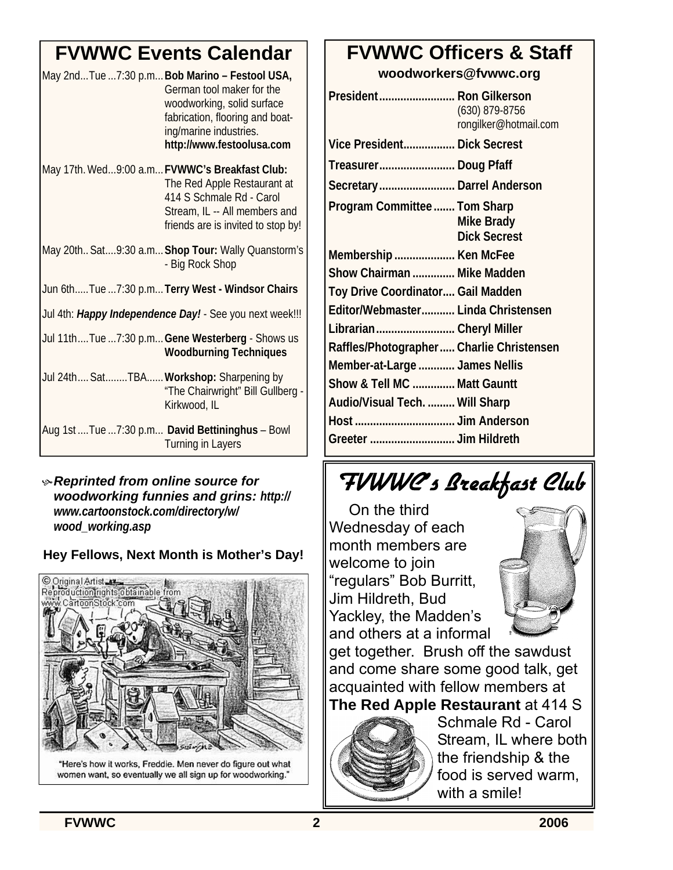# **FVWWC Events Calendar**

| May 2ndTue 7:30 p.m Bob Marino - Festool USA,<br>German tool maker for the<br>woodworking, solid surface<br>fabrication, flooring and boat-<br>ing/marine industries.<br>http://www.festoolusa.com |  |
|----------------------------------------------------------------------------------------------------------------------------------------------------------------------------------------------------|--|
| May 17th. Wed9:00 a.m FVWWC's Breakfast Club:<br>The Red Apple Restaurant at<br>414 S Schmale Rd - Carol<br>Stream, IL -- All members and<br>friends are is invited to stop by!                    |  |
| May 20th Sat9:30 a.m Shop Tour: Wally Quanstorm's<br>- Big Rock Shop                                                                                                                               |  |
| Jun 6thTue 7:30 p.mTerry West - Windsor Chairs                                                                                                                                                     |  |
| Jul 4th: Happy Independence Day! - See you next week!!!                                                                                                                                            |  |
| Jul 11thTue 7:30 p.m Gene Westerberg - Shows us<br><b>Woodburning Techniques</b>                                                                                                                   |  |
| Jul 24th SatTBA Workshop: Sharpening by<br>"The Chairwright" Bill Gullberg -<br>Kirkwood, IL                                                                                                       |  |
| Aug 1st  Tue  7:30 p.m David Bettininghus - Bowl<br><b>Turning in Layers</b>                                                                                                                       |  |

### K *Reprinted from online source for woodworking funnies and grins: http:// www.cartoonstock.com/directory/w/ wood\_working.asp*

### **Hey Fellows, Next Month is Mother's Day!**



"Here's how it works, Freddie. Men never do figure out what women want, so eventually we all sign up for woodworking."

# **FVWWC Officers & Staff**

**woodworkers@fvwwc.org** 

| President Ron Gilkerson                  | (630) 879-8756<br>rongilker@hotmail.com  |
|------------------------------------------|------------------------------------------|
| Vice President Dick Secrest              |                                          |
| Treasurer Doug Pfaff                     |                                          |
| Secretary Darrel Anderson                |                                          |
| Program Committee  Tom Sharp             | <b>Mike Brady</b><br><b>Dick Secrest</b> |
| Membership  Ken McFee                    |                                          |
| Show Chairman  Mike Madden               |                                          |
| Toy Drive Coordinator Gail Madden        |                                          |
| Editor/Webmaster Linda Christensen       |                                          |
| Librarian Cheryl Miller                  |                                          |
| Raffles/Photographer Charlie Christensen |                                          |
| Member-at-Large  James Nellis            |                                          |
| Show & Tell MC  Matt Gauntt              |                                          |
| Audio/Visual Tech.  Will Sharp           |                                          |
|                                          |                                          |
|                                          |                                          |

# FVWWC's Breakfast Club

On the third Wednesday of each month members are welcome to join "regulars" Bob Burritt, Jim Hildreth, Bud Yackley, the Madden's and others at a informal



get together. Brush off the sawdust and come share some good talk, get acquainted with fellow members at **The Red Apple Restaurant** at 414 S

Schmale Rd - Carol Stream, IL where both the friendship & the food is served warm, with a smile!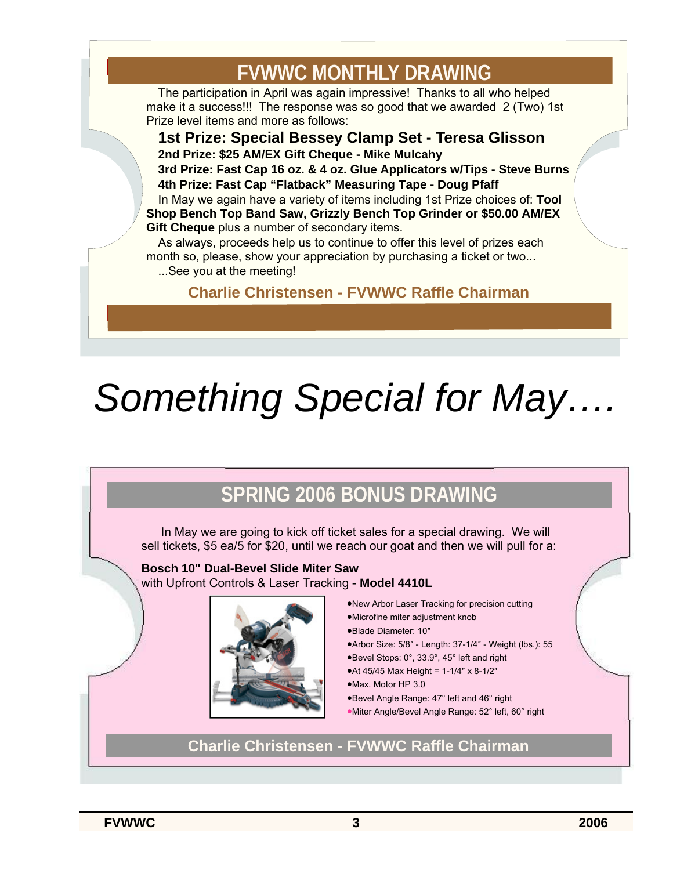# **FVWWC MONTHLY DRAWING**

The participation in April was again impressive! Thanks to all who helped make it a success!!! The response was so good that we awarded 2 (Two) 1st Prize level items and more as follows:

**1st Prize: Special Bessey Clamp Set - Teresa Glisson 2nd Prize: \$25 AM/EX Gift Cheque - Mike Mulcahy 3rd Prize: Fast Cap 16 oz. & 4 oz. Glue Applicators w/Tips - Steve Burns 4th Prize: Fast Cap "Flatback" Measuring Tape - Doug Pfaff**  In May we again have a variety of items including 1st Prize choices of: **Tool Shop Bench Top Band Saw, Grizzly Bench Top Grinder or \$50.00 AM/EX Gift Cheque** plus a number of secondary items.

As always, proceeds help us to continue to offer this level of prizes each month so, please, show your appreciation by purchasing a ticket or two... ...See you at the meeting!

**Charlie Christensen - FVWWC Raffle Chairman**

# *Something Special for May….*

# **SPRING 2006 BONUS DRAWING**

In May we are going to kick off ticket sales for a special drawing. We will sell tickets, \$5 ea/5 for \$20, until we reach our goat and then we will pull for a:

**Bosch 10" Dual-Bevel Slide Miter Saw** with Upfront Controls & Laser Tracking - **Model 4410L**



- •New Arbor Laser Tracking for precision cutting •Microfine miter adjustment knob
- •Blade Diameter: 10″
- 
- •Arbor Size: 5/8″ Length: 37-1/4″ Weight (lbs.): 55
- •Bevel Stops: 0°, 33.9°, 45° left and right
- •At 45/45 Max Height = 1-1/4″ x 8-1/2″
- •Max. Motor HP 3.0
- •Bevel Angle Range: 47° left and 46° right
- •Miter Angle/Bevel Angle Range: 52° left, 60° right

**Charlie Christensen - FVWWC Raffle Chairman**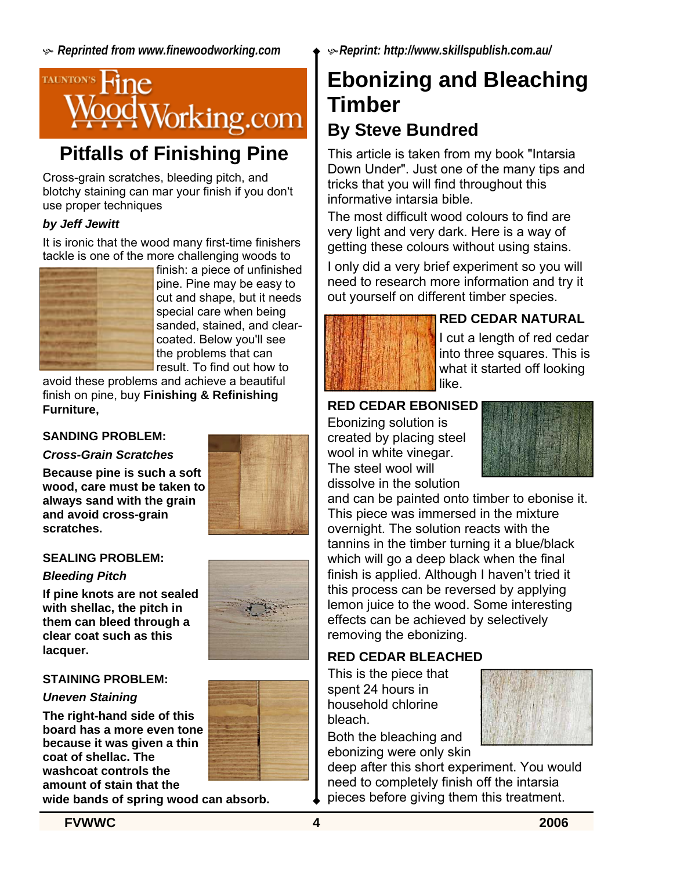

# **Pitfalls of Finishing Pine**

Cross-grain scratches, bleeding pitch, and blotchy staining can mar your finish if you don't use proper techniques

### *by Jeff Jewitt*

It is ironic that the wood many first-time finishers tackle is one of the more challenging woods to



finish: a piece of unfinished pine. Pine may be easy to cut and shape, but it needs special care when being sanded, stained, and clearcoated. Below you'll see the problems that can result. To find out how to

avoid these problems and achieve a beautiful finish on pine, buy **Finishing & Refinishing Furniture,** 

### **SANDING PROBLEM:**

#### *Cross-Grain Scratches*

**Because pine is such a soft wood, care must be taken to always sand with the grain and avoid cross-grain scratches.** 



#### **SEALING PROBLEM:**

### *Bleeding Pitch*

**If pine knots are not sealed with shellac, the pitch in them can bleed through a clear coat such as this lacquer.** 

### **STAINING PROBLEM:**

### *Uneven Staining*

**The right-hand side of this board has a more even tone because it was given a thin coat of shellac. The washcoat controls the amount of stain that the** 



**wide bands of spring wood can absorb.** 

# **Ebonizing and Bleaching Timber**

### **By Steve Bundred**

This article is taken from my book "Intarsia Down Under". Just one of the many tips and tricks that you will find throughout this informative intarsia bible.

The most difficult wood colours to find are very light and very dark. Here is a way of getting these colours without using stains.

I only did a very brief experiment so you will need to research more information and try it out yourself on different timber species.



### **RED CEDAR NATURAL**

I cut a length of red cedar into three squares. This is what it started off looking like.

### **RED CEDAR EBONISED**

Ebonizing solution is created by placing steel wool in white vinegar. The steel wool will dissolve in the solution



and can be painted onto timber to ebonise it. This piece was immersed in the mixture overnight. The solution reacts with the tannins in the timber turning it a blue/black which will go a deep black when the final finish is applied. Although I haven't tried it this process can be reversed by applying lemon juice to the wood. Some interesting effects can be achieved by selectively removing the ebonizing.

### **RED CEDAR BLEACHED**

This is the piece that spent 24 hours in household chlorine bleach.

Both the bleaching and ebonizing were only skin



deep after this short experiment. You would need to completely finish off the intarsia pieces before giving them this treatment.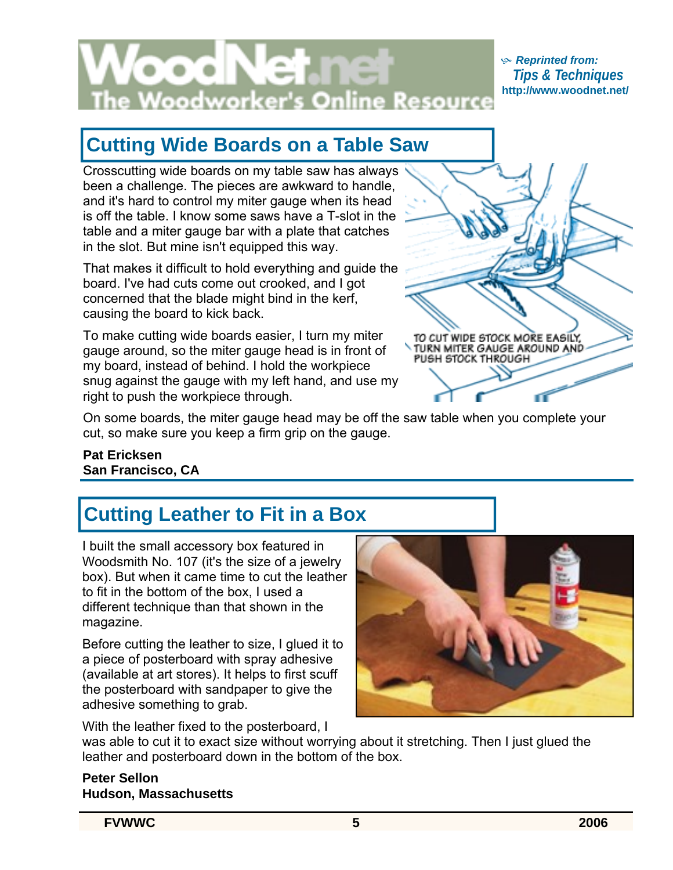

#### K *Reprinted from: Tips & Techniques* **http://www.woodnet.net/**

# **Cutting Wide Boards on a Table Saw**

Crosscutting wide boards on my table saw has always been a challenge. The pieces are awkward to handle, and it's hard to control my miter gauge when its head is off the table. I know some saws have a T-slot in the table and a miter gauge bar with a plate that catches in the slot. But mine isn't equipped this way.

That makes it difficult to hold everything and guide the board. I've had cuts come out crooked, and I got concerned that the blade might bind in the kerf, causing the board to kick back.

To make cutting wide boards easier, I turn my miter gauge around, so the miter gauge head is in front of my board, instead of behind. I hold the workpiece snug against the gauge with my left hand, and use my right to push the workpiece through.

TO CUT WIDE STOCK MORE EASILY, TURN MITER GAUGE AROUND AND<br>PUSH STOCK THROUGH

On some boards, the miter gauge head may be off the saw table when you complete your cut, so make sure you keep a firm grip on the gauge.

**Pat Ericksen San Francisco, CA** 

# **Cutting Leather to Fit in a Box**

I built the small accessory box featured in Woodsmith No. 107 (it's the size of a jewelry box). But when it came time to cut the leather to fit in the bottom of the box, I used a different technique than that shown in the magazine.

Before cutting the leather to size, I glued it to a piece of posterboard with spray adhesive (available at art stores). It helps to first scuff the posterboard with sandpaper to give the adhesive something to grab.

With the leather fixed to the posterboard, I

was able to cut it to exact size without worrying about it stretching. Then I just glued the leather and posterboard down in the bottom of the box.

**Peter Sellon Hudson, Massachusetts** 

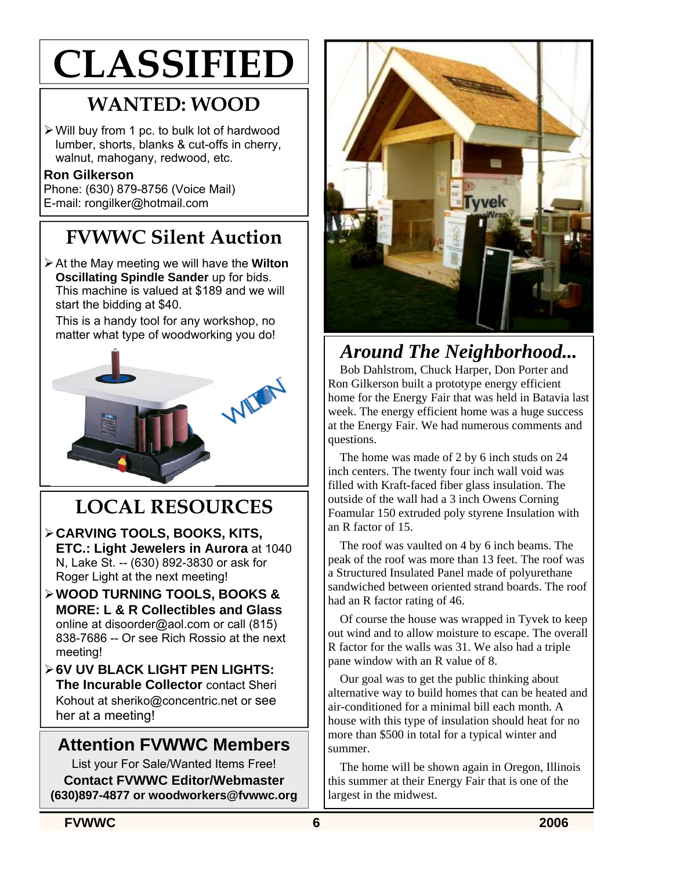# **CLASSIFIED**

# **WANTED: WOOD**

¾ Will buy from 1 pc. to bulk lot of hardwood lumber, shorts, blanks & cut-offs in cherry, walnut, mahogany, redwood, etc.

### **Ron Gilkerson**

Phone: (630) 879-8756 (Voice Mail) E-mail: rongilker@hotmail.com

# **FVWWC Silent Auction**

¾ At the May meeting we will have the **Wilton Oscillating Spindle Sander** up for bids. This machine is valued at \$189 and we will start the bidding at \$40.

This is a handy tool for any workshop, no matter what type of woodworking you do!



# **LOCAL RESOURCES**

- ¾ **CARVING TOOLS, BOOKS, KITS, ETC.: Light Jewelers in Aurora** at 1040 N, Lake St. -- (630) 892-3830 or ask for Roger Light at the next meeting!
- ¾ **WOOD TURNING TOOLS, BOOKS & MORE: L & R Collectibles and Glass**  online at disoorder@aol.com or call (815) 838-7686 -- Or see Rich Rossio at the next meeting!
- ¾ **6V UV BLACK LIGHT PEN LIGHTS: The Incurable Collector** contact Sheri Kohout at sheriko@concentric.net or see her at a meeting!

### **Attention FVWWC Members**

List your For Sale/Wanted Items Free! **Contact FVWWC Editor/Webmaster (630)897-4877 or woodworkers@fvwwc.org** 



## *Around The Neighborhood...*

Bob Dahlstrom, Chuck Harper, Don Porter and Ron Gilkerson built a prototype energy efficient home for the Energy Fair that was held in Batavia last week. The energy efficient home was a huge success at the Energy Fair. We had numerous comments and questions.

The home was made of 2 by 6 inch studs on 24 inch centers. The twenty four inch wall void was filled with Kraft-faced fiber glass insulation. The outside of the wall had a 3 inch Owens Corning Foamular 150 extruded poly styrene Insulation with an R factor of 15.

The roof was vaulted on 4 by 6 inch beams. The peak of the roof was more than 13 feet. The roof was a Structured Insulated Panel made of polyurethane sandwiched between oriented strand boards. The roof had an R factor rating of 46.

Of course the house was wrapped in Tyvek to keep out wind and to allow moisture to escape. The overall R factor for the walls was 31. We also had a triple pane window with an R value of 8.

Our goal was to get the public thinking about alternative way to build homes that can be heated and air-conditioned for a minimal bill each month. A house with this type of insulation should heat for no more than \$500 in total for a typical winter and summer.

The home will be shown again in Oregon, Illinois this summer at their Energy Fair that is one of the largest in the midwest.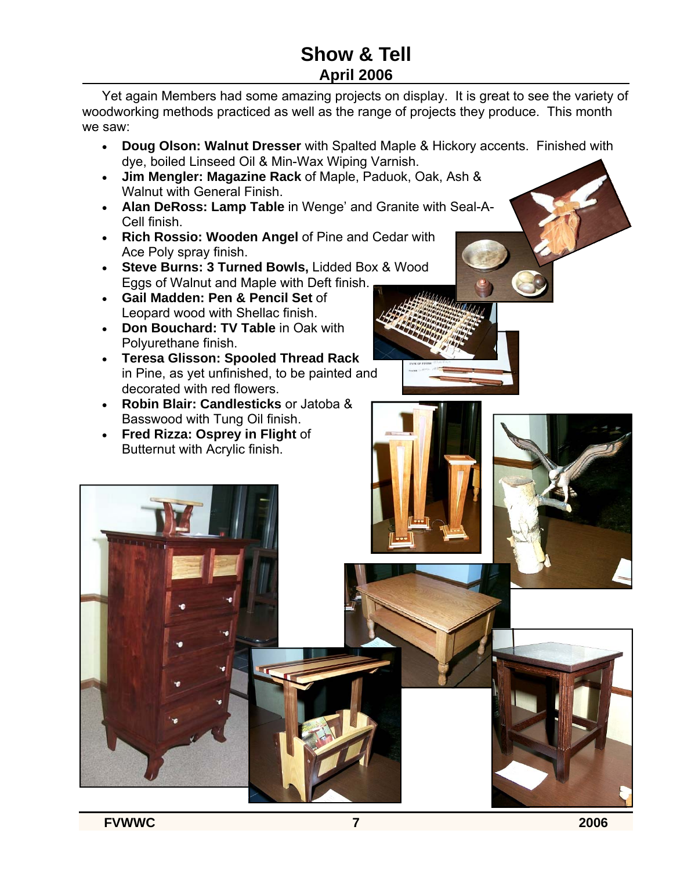### **Show & Tell April 2006**

Yet again Members had some amazing projects on display. It is great to see the variety of woodworking methods practiced as well as the range of projects they produce. This month we saw:

- **Doug Olson: Walnut Dresser** with Spalted Maple & Hickory accents. Finished with dye, boiled Linseed Oil & Min-Wax Wiping Varnish.
- **Jim Mengler: Magazine Rack** of Maple, Paduok, Oak, Ash & Walnut with General Finish.
- **Alan DeRoss: Lamp Table** in Wenge' and Granite with Seal-A-Cell finish.
- **Rich Rossio: Wooden Angel** of Pine and Cedar with Ace Poly spray finish.
- **Steve Burns: 3 Turned Bowls,** Lidded Box & Wood Eggs of Walnut and Maple with Deft finish.
- **Gail Madden: Pen & Pencil Set** of Leopard wood with Shellac finish.
- **Don Bouchard: TV Table** in Oak with Polyurethane finish.
- **Teresa Glisson: Spooled Thread Rack**  in Pine, as yet unfinished, to be painted and decorated with red flowers.
- **Robin Blair: Candlesticks** or Jatoba & Basswood with Tung Oil finish.
- **Fred Rizza: Osprey in Flight** of Butternut with Acrylic finish.